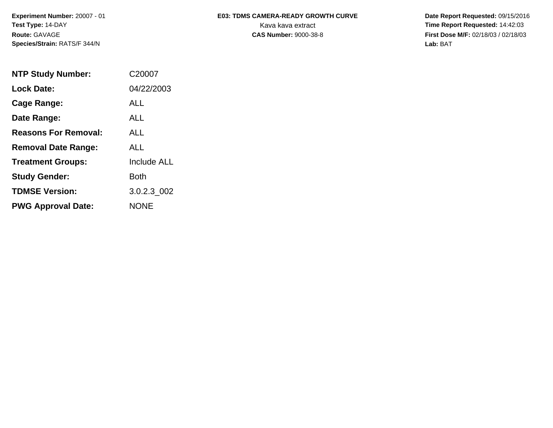**Experiment Number:** 20007 - 01 **Test Type:** 14-DAY **Route:** GAVAGE **Species/Strain:** RATS/F 344/N

## E03: TDMS CAMERA-READY GROWTH CURVE Date Report Requested: 09/15/2016 Kava kava extract **Time Report Requested:** 14:42:03

**CAS Number:** 9000-38-8 **First Dose M/F:** 02/18/03 / 02/18/03 **Lab:** BAT

| <b>NTP Study Number:</b>    | C <sub>2000</sub> 7 |
|-----------------------------|---------------------|
| <b>Lock Date:</b>           | 04/22/2003          |
| Cage Range:                 | ALL                 |
| Date Range:                 | <b>ALL</b>          |
| <b>Reasons For Removal:</b> | <b>ALL</b>          |
| <b>Removal Date Range:</b>  | ALL                 |
| <b>Treatment Groups:</b>    | <b>Include ALL</b>  |
| <b>Study Gender:</b>        | Both                |
| <b>TDMSE Version:</b>       | 3.0.2.3 002         |
| <b>PWG Approval Date:</b>   | <b>NONE</b>         |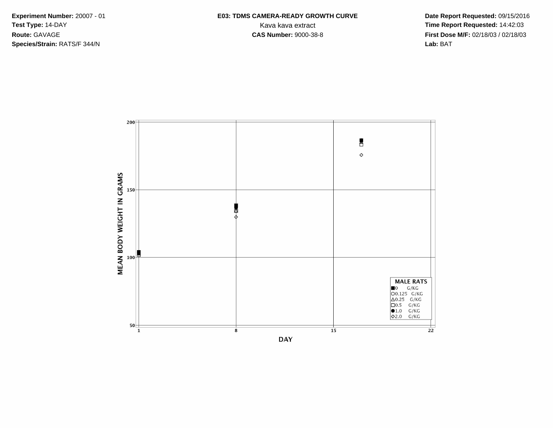**Species/Strain:** RATS/F 344/N **Lab:** BAT